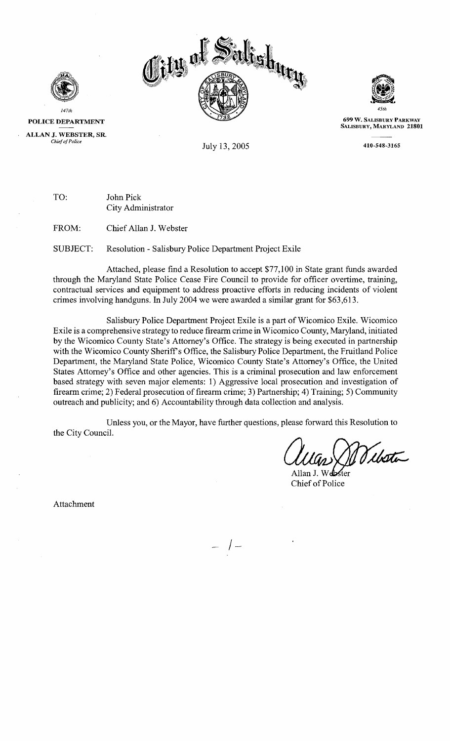



**POLICE DEPARTMENT** 

147th

**ALLAN J. WEBSTER, SR.** 

*Chief of Police* July 13,2005

TO: John Pick City Administrator

FROM: Chief Allan J. Webster

SUBJECT: Resolution - Salisbury Police Department Project Exile

Attached, please find a Resolution to accept \$77,100 in State grant funds awarded through the Maryland State Police Cease Fire Council to provide for officer overtime, training, contractual services and equipment to address proactive efforts in reducing incidents of violent crimes involving handguns. In July 2004 we were awarded a similar grant for \$63,6 13.

Salisbury Police Department Project Exile is a part of Wicomico Exile. Wicomico Exile is a comprehensive strategy to reduce firearm crime in Wicomico County, Maryland, initiated by the Wicomico County State's Attorney's Office. The strategy is being executed in partnership with the Wicomico County Sheriffs Office, the Salisbury Police Department, the Fruitland Police Department, the Maryland State Police, Wicomico County State's Attorney's Office, the United States Attorney's Office and other agencies. This is a criminal prosecution and law enforcement based strategy with seven major elements: 1) Aggressive local prosecution and investigation of firearm crime; 2) Federal prosecution of firearm crime; 3) Partnership; 4) Training; 5) Community outreach and publicity; and 6) Accountability through data collection and analysis.

Unless you, or the Mayor, have further questions, please forward this Resolution to the Citv Council.

Vibeti

Allan J. Webster Chief of Police

Attachment

 $-$  /  $-$ 



**699 W. SALISBURY PARKWAY** SALISBURY, MARYLAND 21801

410-548-3165